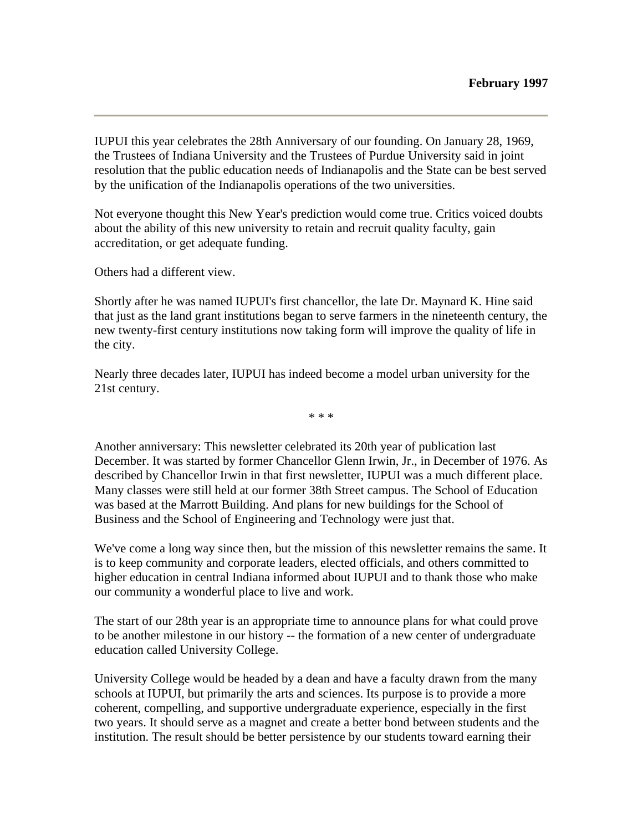IUPUI this year celebrates the 28th Anniversary of our founding. On January 28, 1969, the Trustees of Indiana University and the Trustees of Purdue University said in joint resolution that the public education needs of Indianapolis and the State can be best served by the unification of the Indianapolis operations of the two universities.

Not everyone thought this New Year's prediction would come true. Critics voiced doubts about the ability of this new university to retain and recruit quality faculty, gain accreditation, or get adequate funding.

Others had a different view.

Shortly after he was named IUPUI's first chancellor, the late Dr. Maynard K. Hine said that just as the land grant institutions began to serve farmers in the nineteenth century, the new twenty-first century institutions now taking form will improve the quality of life in the city.

Nearly three decades later, IUPUI has indeed become a model urban university for the 21st century.

\* \* \*

Another anniversary: This newsletter celebrated its 20th year of publication last December. It was started by former Chancellor Glenn Irwin, Jr., in December of 1976. As described by Chancellor Irwin in that first newsletter, IUPUI was a much different place. Many classes were still held at our former 38th Street campus. The School of Education was based at the Marrott Building. And plans for new buildings for the School of Business and the School of Engineering and Technology were just that.

We've come a long way since then, but the mission of this newsletter remains the same. It is to keep community and corporate leaders, elected officials, and others committed to higher education in central Indiana informed about IUPUI and to thank those who make our community a wonderful place to live and work.

The start of our 28th year is an appropriate time to announce plans for what could prove to be another milestone in our history -- the formation of a new center of undergraduate education called University College.

University College would be headed by a dean and have a faculty drawn from the many schools at IUPUI, but primarily the arts and sciences. Its purpose is to provide a more coherent, compelling, and supportive undergraduate experience, especially in the first two years. It should serve as a magnet and create a better bond between students and the institution. The result should be better persistence by our students toward earning their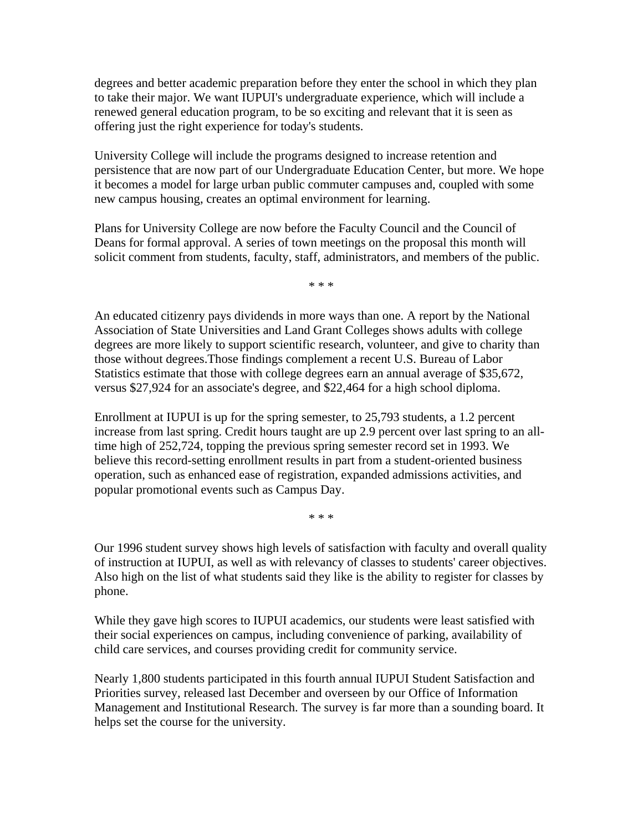degrees and better academic preparation before they enter the school in which they plan to take their major. We want IUPUI's undergraduate experience, which will include a renewed general education program, to be so exciting and relevant that it is seen as offering just the right experience for today's students.

University College will include the programs designed to increase retention and persistence that are now part of our Undergraduate Education Center, but more. We hope it becomes a model for large urban public commuter campuses and, coupled with some new campus housing, creates an optimal environment for learning.

Plans for University College are now before the Faculty Council and the Council of Deans for formal approval. A series of town meetings on the proposal this month will solicit comment from students, faculty, staff, administrators, and members of the public.

\* \* \*

An educated citizenry pays dividends in more ways than one. A report by the National Association of State Universities and Land Grant Colleges shows adults with college degrees are more likely to support scientific research, volunteer, and give to charity than those without degrees.Those findings complement a recent U.S. Bureau of Labor Statistics estimate that those with college degrees earn an annual average of \$35,672, versus \$27,924 for an associate's degree, and \$22,464 for a high school diploma.

Enrollment at IUPUI is up for the spring semester, to 25,793 students, a 1.2 percent increase from last spring. Credit hours taught are up 2.9 percent over last spring to an alltime high of 252,724, topping the previous spring semester record set in 1993. We believe this record-setting enrollment results in part from a student-oriented business operation, such as enhanced ease of registration, expanded admissions activities, and popular promotional events such as Campus Day.

\* \* \*

Our 1996 student survey shows high levels of satisfaction with faculty and overall quality of instruction at IUPUI, as well as with relevancy of classes to students' career objectives. Also high on the list of what students said they like is the ability to register for classes by phone.

While they gave high scores to IUPUI academics, our students were least satisfied with their social experiences on campus, including convenience of parking, availability of child care services, and courses providing credit for community service.

Nearly 1,800 students participated in this fourth annual IUPUI Student Satisfaction and Priorities survey, released last December and overseen by our Office of Information Management and Institutional Research. The survey is far more than a sounding board. It helps set the course for the university.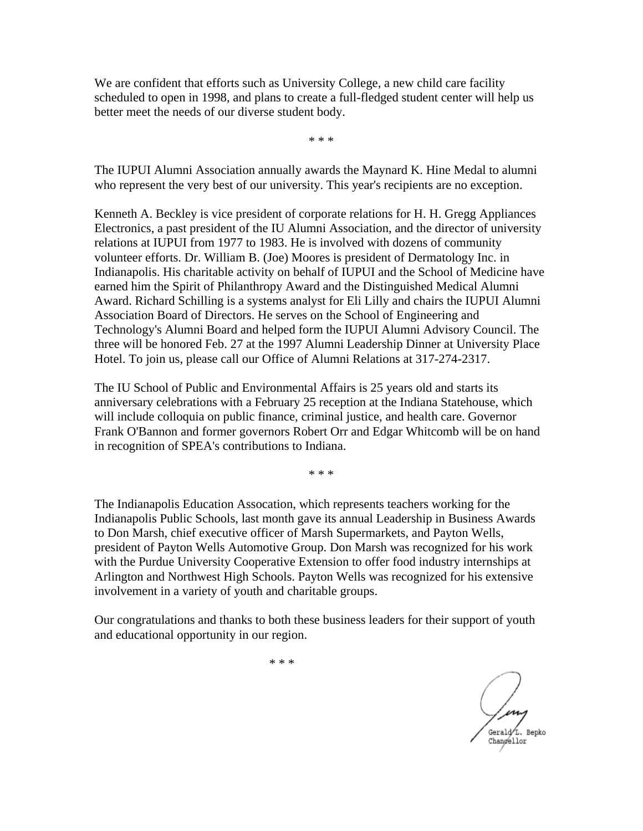We are confident that efforts such as University College, a new child care facility scheduled to open in 1998, and plans to create a full-fledged student center will help us better meet the needs of our diverse student body.

\* \* \*

The IUPUI Alumni Association annually awards the Maynard K. Hine Medal to alumni who represent the very best of our university. This year's recipients are no exception.

Kenneth A. Beckley is vice president of corporate relations for H. H. Gregg Appliances Electronics, a past president of the IU Alumni Association, and the director of university relations at IUPUI from 1977 to 1983. He is involved with dozens of community volunteer efforts. Dr. William B. (Joe) Moores is president of Dermatology Inc. in Indianapolis. His charitable activity on behalf of IUPUI and the School of Medicine have earned him the Spirit of Philanthropy Award and the Distinguished Medical Alumni Award. Richard Schilling is a systems analyst for Eli Lilly and chairs the IUPUI Alumni Association Board of Directors. He serves on the School of Engineering and Technology's Alumni Board and helped form the IUPUI Alumni Advisory Council. The three will be honored Feb. 27 at the 1997 Alumni Leadership Dinner at University Place Hotel. To join us, please call our Office of Alumni Relations at 317-274-2317.

The IU School of Public and Environmental Affairs is 25 years old and starts its anniversary celebrations with a February 25 reception at the Indiana Statehouse, which will include colloquia on public finance, criminal justice, and health care. Governor Frank O'Bannon and former governors Robert Orr and Edgar Whitcomb will be on hand in recognition of SPEA's contributions to Indiana.

\* \* \*

The Indianapolis Education Assocation, which represents teachers working for the Indianapolis Public Schools, last month gave its annual Leadership in Business Awards to Don Marsh, chief executive officer of Marsh Supermarkets, and Payton Wells, president of Payton Wells Automotive Group. Don Marsh was recognized for his work with the Purdue University Cooperative Extension to offer food industry internships at Arlington and Northwest High Schools. Payton Wells was recognized for his extensive involvement in a variety of youth and charitable groups.

Our congratulations and thanks to both these business leaders for their support of youth and educational opportunity in our region.

m Gerald<sub>L</sub>. Bepko Changellor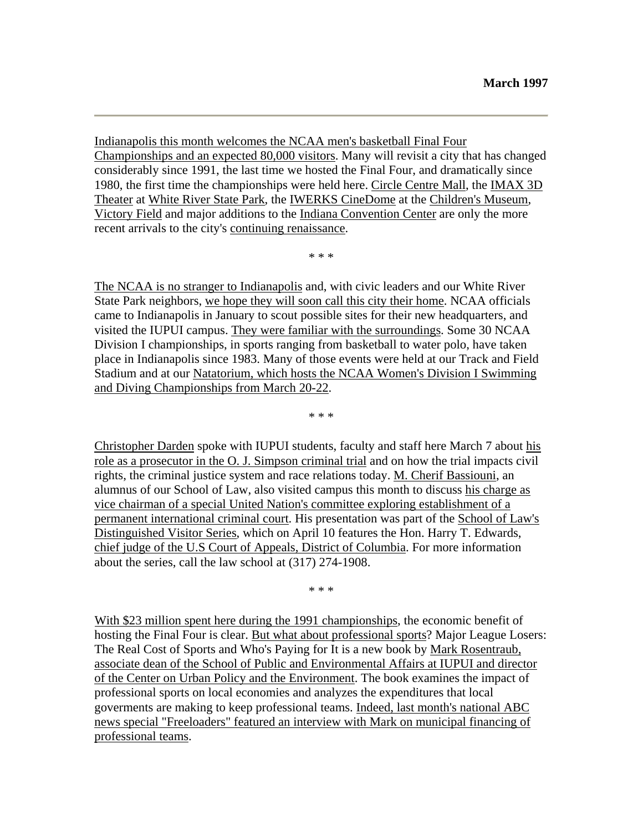Indianapolis this month welcomes the NCAA men's basketball Final Four Championships and an expected 80,000 visitors. Many will revisit a city that has changed considerably since 1991, the last time we hosted the Final Four, and dramatically since 1980, the first time the championships were held here. Circle Centre Mall, the IMAX 3D Theater at White River State Park, the IWERKS CineDome at the Children's Museum, Victory Field and major additions to the Indiana Convention Center are only the more recent arrivals to the city's continuing renaissance.

\* \* \*

The NCAA is no stranger to Indianapolis and, with civic leaders and our White River State Park neighbors, we hope they will soon call this city their home. NCAA officials came to Indianapolis in January to scout possible sites for their new headquarters, and visited the IUPUI campus. They were familiar with the surroundings. Some 30 NCAA Division I championships, in sports ranging from basketball to water polo, have taken place in Indianapolis since 1983. Many of those events were held at our Track and Field Stadium and at our Natatorium, which hosts the NCAA Women's Division I Swimming and Diving Championships from March 20-22.

\* \* \*

Christopher Darden spoke with IUPUI students, faculty and staff here March 7 about his role as a prosecutor in the O. J. Simpson criminal trial and on how the trial impacts civil rights, the criminal justice system and race relations today. M. Cherif Bassiouni, an alumnus of our School of Law, also visited campus this month to discuss his charge as vice chairman of a special United Nation's committee exploring establishment of a permanent international criminal court. His presentation was part of the School of Law's Distinguished Visitor Series, which on April 10 features the Hon. Harry T. Edwards, chief judge of the U.S Court of Appeals, District of Columbia. For more information about the series, call the law school at (317) 274-1908.

\* \* \*

With \$23 million spent here during the 1991 championships, the economic benefit of hosting the Final Four is clear. But what about professional sports? Major League Losers: The Real Cost of Sports and Who's Paying for It is a new book by Mark Rosentraub, associate dean of the School of Public and Environmental Affairs at IUPUI and director of the Center on Urban Policy and the Environment. The book examines the impact of professional sports on local economies and analyzes the expenditures that local goverments are making to keep professional teams. Indeed, last month's national ABC news special "Freeloaders" featured an interview with Mark on municipal financing of professional teams.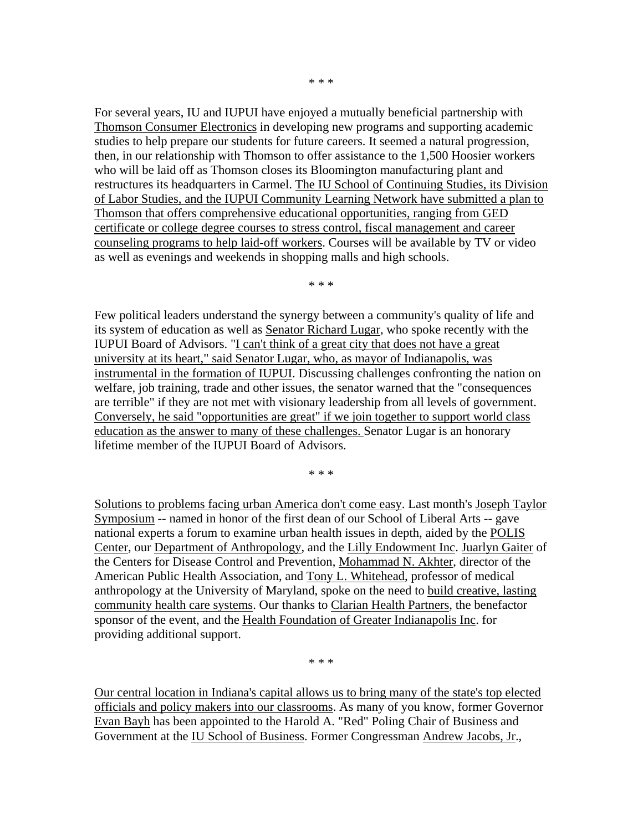\* \* \*

For several years, IU and IUPUI have enjoyed a mutually beneficial partnership with Thomson Consumer Electronics in developing new programs and supporting academic studies to help prepare our students for future careers. It seemed a natural progression, then, in our relationship with Thomson to offer assistance to the 1,500 Hoosier workers who will be laid off as Thomson closes its Bloomington manufacturing plant and restructures its headquarters in Carmel. The IU School of Continuing Studies, its Division of Labor Studies, and the IUPUI Community Learning Network have submitted a plan to Thomson that offers comprehensive educational opportunities, ranging from GED certificate or college degree courses to stress control, fiscal management and career counseling programs to help laid-off workers. Courses will be available by TV or video as well as evenings and weekends in shopping malls and high schools.

\* \* \*

Few political leaders understand the synergy between a community's quality of life and its system of education as well as Senator Richard Lugar, who spoke recently with the IUPUI Board of Advisors. "I can't think of a great city that does not have a great university at its heart," said Senator Lugar, who, as mayor of Indianapolis, was instrumental in the formation of IUPUI. Discussing challenges confronting the nation on welfare, job training, trade and other issues, the senator warned that the "consequences are terrible" if they are not met with visionary leadership from all levels of government. Conversely, he said "opportunities are great" if we join together to support world class education as the answer to many of these challenges. Senator Lugar is an honorary lifetime member of the IUPUI Board of Advisors.

\* \* \*

Solutions to problems facing urban America don't come easy. Last month's Joseph Taylor Symposium -- named in honor of the first dean of our School of Liberal Arts -- gave national experts a forum to examine urban health issues in depth, aided by the POLIS Center, our Department of Anthropology, and the Lilly Endowment Inc. Juarlyn Gaiter of the Centers for Disease Control and Prevention, Mohammad N. Akhter, director of the American Public Health Association, and Tony L. Whitehead, professor of medical anthropology at the University of Maryland, spoke on the need to build creative, lasting community health care systems. Our thanks to Clarian Health Partners, the benefactor sponsor of the event, and the Health Foundation of Greater Indianapolis Inc. for providing additional support.

\* \* \*

Our central location in Indiana's capital allows us to bring many of the state's top elected officials and policy makers into our classrooms. As many of you know, former Governor Evan Bayh has been appointed to the Harold A. "Red" Poling Chair of Business and Government at the IU School of Business. Former Congressman Andrew Jacobs, Jr.,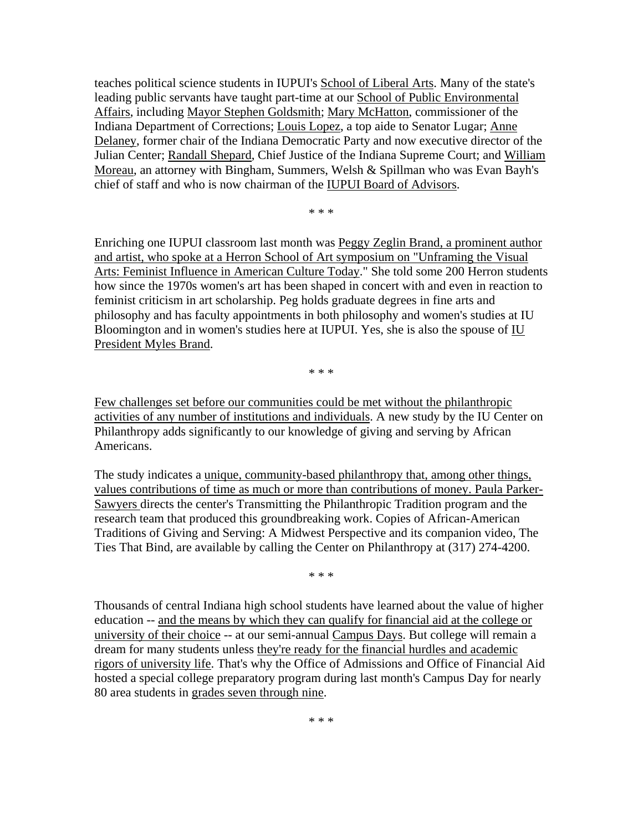teaches political science students in IUPUI's School of Liberal Arts. Many of the state's leading public servants have taught part-time at our School of Public Environmental Affairs, including Mayor Stephen Goldsmith; Mary McHatton, commissioner of the Indiana Department of Corrections; Louis Lopez, a top aide to Senator Lugar; Anne Delaney, former chair of the Indiana Democratic Party and now executive director of the Julian Center; Randall Shepard, Chief Justice of the Indiana Supreme Court; and William Moreau, an attorney with Bingham, Summers, Welsh & Spillman who was Evan Bayh's chief of staff and who is now chairman of the IUPUI Board of Advisors.

\* \* \*

Enriching one IUPUI classroom last month was Peggy Zeglin Brand, a prominent author and artist, who spoke at a Herron School of Art symposium on "Unframing the Visual Arts: Feminist Influence in American Culture Today." She told some 200 Herron students how since the 1970s women's art has been shaped in concert with and even in reaction to feminist criticism in art scholarship. Peg holds graduate degrees in fine arts and philosophy and has faculty appointments in both philosophy and women's studies at IU Bloomington and in women's studies here at IUPUI. Yes, she is also the spouse of IU President Myles Brand.

\* \* \*

Few challenges set before our communities could be met without the philanthropic activities of any number of institutions and individuals. A new study by the IU Center on Philanthropy adds significantly to our knowledge of giving and serving by African Americans.

The study indicates a unique, community-based philanthropy that, among other things, values contributions of time as much or more than contributions of money. Paula Parker-Sawyers directs the center's Transmitting the Philanthropic Tradition program and the research team that produced this groundbreaking work. Copies of African-American Traditions of Giving and Serving: A Midwest Perspective and its companion video, The Ties That Bind, are available by calling the Center on Philanthropy at (317) 274-4200.

\* \* \*

Thousands of central Indiana high school students have learned about the value of higher education -- and the means by which they can qualify for financial aid at the college or university of their choice -- at our semi-annual Campus Days. But college will remain a dream for many students unless they're ready for the financial hurdles and academic rigors of university life. That's why the Office of Admissions and Office of Financial Aid hosted a special college preparatory program during last month's Campus Day for nearly 80 area students in grades seven through nine.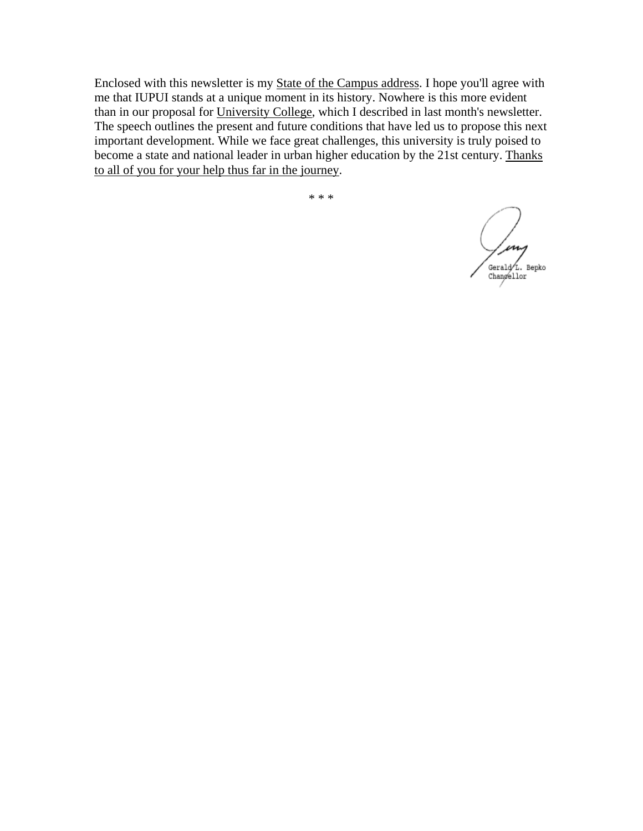Enclosed with this newsletter is my State of the Campus address. I hope you'll agree with me that IUPUI stands at a unique moment in its history. Nowhere is this more evident than in our proposal for University College, which I described in last month's newsletter. The speech outlines the present and future conditions that have led us to propose this next important development. While we face great challenges, this university is truly poised to become a state and national leader in urban higher education by the 21st century. Thanks to all of you for your help thus far in the journey.

m Gerald L. Bepko Changellor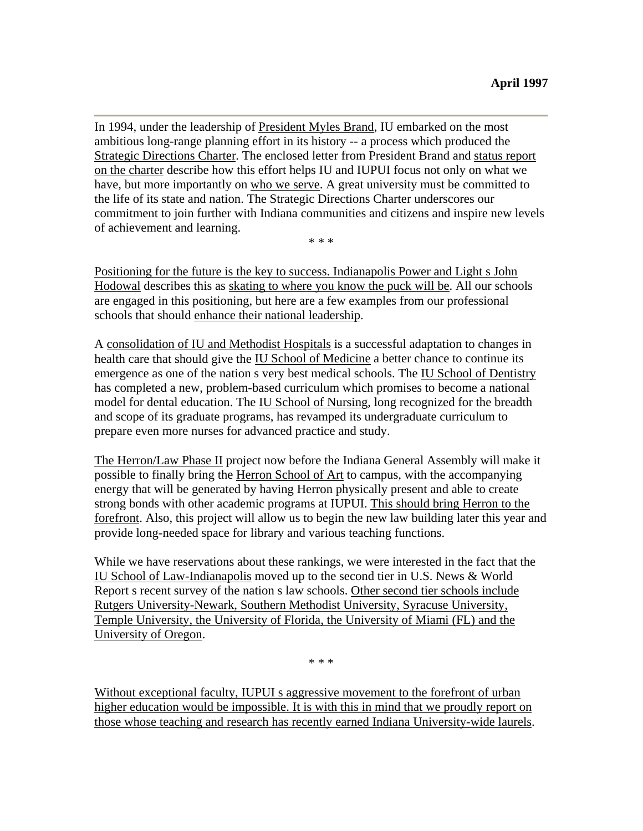In 1994, under the leadership of President Myles Brand, IU embarked on the most ambitious long-range planning effort in its history -- a process which produced the Strategic Directions Charter. The enclosed letter from President Brand and status report on the charter describe how this effort helps IU and IUPUI focus not only on what we have, but more importantly on who we serve. A great university must be committed to the life of its state and nation. The Strategic Directions Charter underscores our commitment to join further with Indiana communities and citizens and inspire new levels of achievement and learning.

\* \* \*

Positioning for the future is the key to success. Indianapolis Power and Light s John Hodowal describes this as skating to where you know the puck will be. All our schools are engaged in this positioning, but here are a few examples from our professional schools that should enhance their national leadership.

A consolidation of IU and Methodist Hospitals is a successful adaptation to changes in health care that should give the IU School of Medicine a better chance to continue its emergence as one of the nation s very best medical schools. The IU School of Dentistry has completed a new, problem-based curriculum which promises to become a national model for dental education. The IU School of Nursing, long recognized for the breadth and scope of its graduate programs, has revamped its undergraduate curriculum to prepare even more nurses for advanced practice and study.

The Herron/Law Phase II project now before the Indiana General Assembly will make it possible to finally bring the Herron School of Art to campus, with the accompanying energy that will be generated by having Herron physically present and able to create strong bonds with other academic programs at IUPUI. This should bring Herron to the forefront. Also, this project will allow us to begin the new law building later this year and provide long-needed space for library and various teaching functions.

While we have reservations about these rankings, we were interested in the fact that the IU School of Law-Indianapolis moved up to the second tier in U.S. News & World Report s recent survey of the nation s law schools. Other second tier schools include Rutgers University-Newark, Southern Methodist University, Syracuse University, Temple University, the University of Florida, the University of Miami (FL) and the University of Oregon.

\* \* \*

Without exceptional faculty, IUPUI s aggressive movement to the forefront of urban higher education would be impossible. It is with this in mind that we proudly report on those whose teaching and research has recently earned Indiana University-wide laurels.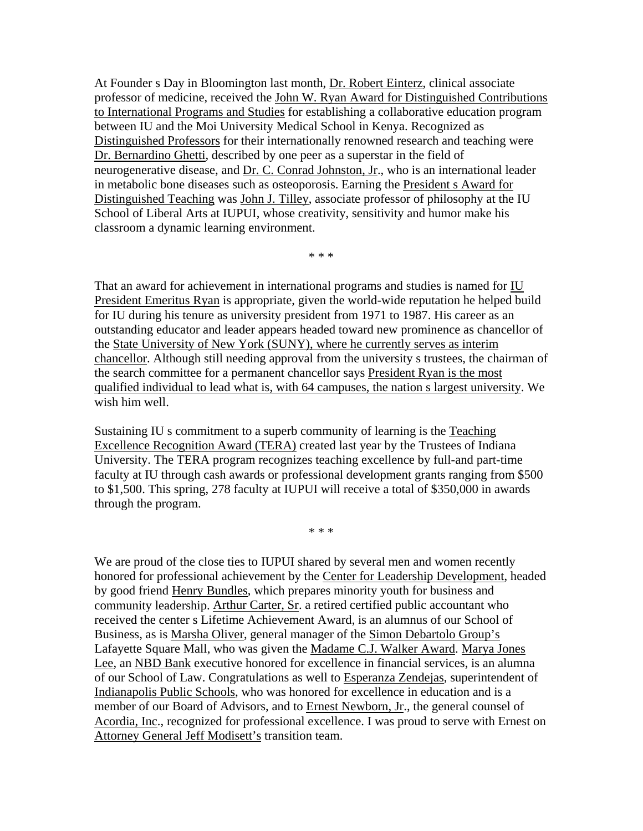At Founder s Day in Bloomington last month, Dr. Robert Einterz, clinical associate professor of medicine, received the John W. Ryan Award for Distinguished Contributions to International Programs and Studies for establishing a collaborative education program between IU and the Moi University Medical School in Kenya. Recognized as Distinguished Professors for their internationally renowned research and teaching were Dr. Bernardino Ghetti, described by one peer as a superstar in the field of neurogenerative disease, and Dr. C. Conrad Johnston, Jr., who is an international leader in metabolic bone diseases such as osteoporosis. Earning the President s Award for Distinguished Teaching was John J. Tilley, associate professor of philosophy at the IU School of Liberal Arts at IUPUI, whose creativity, sensitivity and humor make his classroom a dynamic learning environment.

\* \* \*

That an award for achievement in international programs and studies is named for IU President Emeritus Ryan is appropriate, given the world-wide reputation he helped build for IU during his tenure as university president from 1971 to 1987. His career as an outstanding educator and leader appears headed toward new prominence as chancellor of the State University of New York (SUNY), where he currently serves as interim chancellor. Although still needing approval from the university s trustees, the chairman of the search committee for a permanent chancellor says President Ryan is the most qualified individual to lead what is, with 64 campuses, the nation s largest university. We wish him well.

Sustaining IU s commitment to a superb community of learning is the Teaching Excellence Recognition Award (TERA) created last year by the Trustees of Indiana University. The TERA program recognizes teaching excellence by full-and part-time faculty at IU through cash awards or professional development grants ranging from \$500 to \$1,500. This spring, 278 faculty at IUPUI will receive a total of \$350,000 in awards through the program.

\* \* \*

We are proud of the close ties to IUPUI shared by several men and women recently honored for professional achievement by the Center for Leadership Development, headed by good friend Henry Bundles, which prepares minority youth for business and community leadership. Arthur Carter, Sr. a retired certified public accountant who received the center s Lifetime Achievement Award, is an alumnus of our School of Business, as is Marsha Oliver, general manager of the Simon Debartolo Group's Lafayette Square Mall, who was given the Madame C.J. Walker Award. Marya Jones Lee, an NBD Bank executive honored for excellence in financial services, is an alumna of our School of Law. Congratulations as well to Esperanza Zendejas, superintendent of Indianapolis Public Schools, who was honored for excellence in education and is a member of our Board of Advisors, and to Ernest Newborn, Jr., the general counsel of Acordia, Inc., recognized for professional excellence. I was proud to serve with Ernest on Attorney General Jeff Modisett's transition team.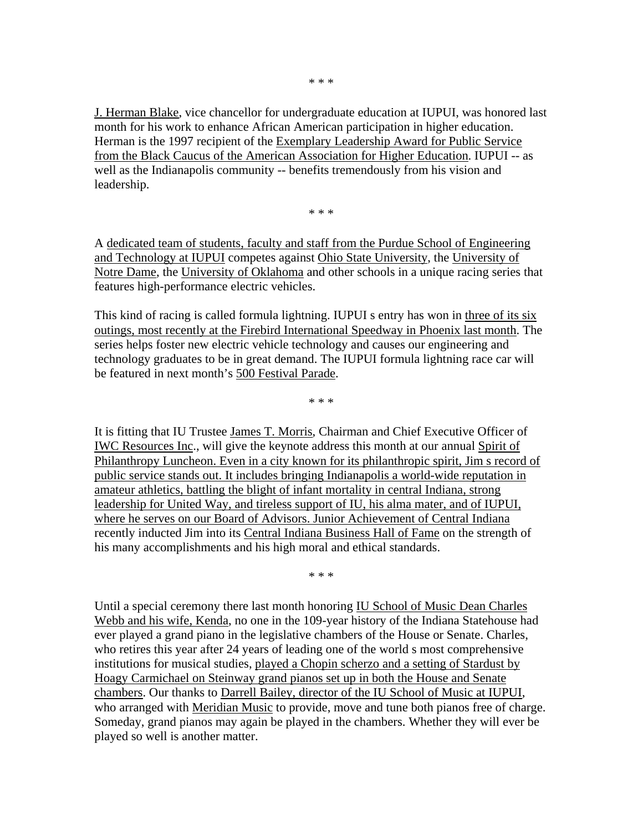J. Herman Blake, vice chancellor for undergraduate education at IUPUI, was honored last month for his work to enhance African American participation in higher education. Herman is the 1997 recipient of the Exemplary Leadership Award for Public Service from the Black Caucus of the American Association for Higher Education. IUPUI -- as well as the Indianapolis community -- benefits tremendously from his vision and leadership.

\* \* \*

A dedicated team of students, faculty and staff from the Purdue School of Engineering and Technology at IUPUI competes against Ohio State University, the University of Notre Dame, the University of Oklahoma and other schools in a unique racing series that features high-performance electric vehicles.

This kind of racing is called formula lightning. IUPUI s entry has won in three of its six outings, most recently at the Firebird International Speedway in Phoenix last month. The series helps foster new electric vehicle technology and causes our engineering and technology graduates to be in great demand. The IUPUI formula lightning race car will be featured in next month's 500 Festival Parade.

\* \* \*

It is fitting that IU Trustee James T. Morris, Chairman and Chief Executive Officer of IWC Resources Inc., will give the keynote address this month at our annual Spirit of Philanthropy Luncheon. Even in a city known for its philanthropic spirit, Jim s record of public service stands out. It includes bringing Indianapolis a world-wide reputation in amateur athletics, battling the blight of infant mortality in central Indiana, strong leadership for United Way, and tireless support of IU, his alma mater, and of IUPUI, where he serves on our Board of Advisors. Junior Achievement of Central Indiana recently inducted Jim into its Central Indiana Business Hall of Fame on the strength of his many accomplishments and his high moral and ethical standards.

\* \* \*

Until a special ceremony there last month honoring IU School of Music Dean Charles Webb and his wife, Kenda, no one in the 109-year history of the Indiana Statehouse had ever played a grand piano in the legislative chambers of the House or Senate. Charles, who retires this year after 24 years of leading one of the world s most comprehensive institutions for musical studies, played a Chopin scherzo and a setting of Stardust by Hoagy Carmichael on Steinway grand pianos set up in both the House and Senate chambers. Our thanks to Darrell Bailey, director of the IU School of Music at IUPUI, who arranged with Meridian Music to provide, move and tune both pianos free of charge. Someday, grand pianos may again be played in the chambers. Whether they will ever be played so well is another matter.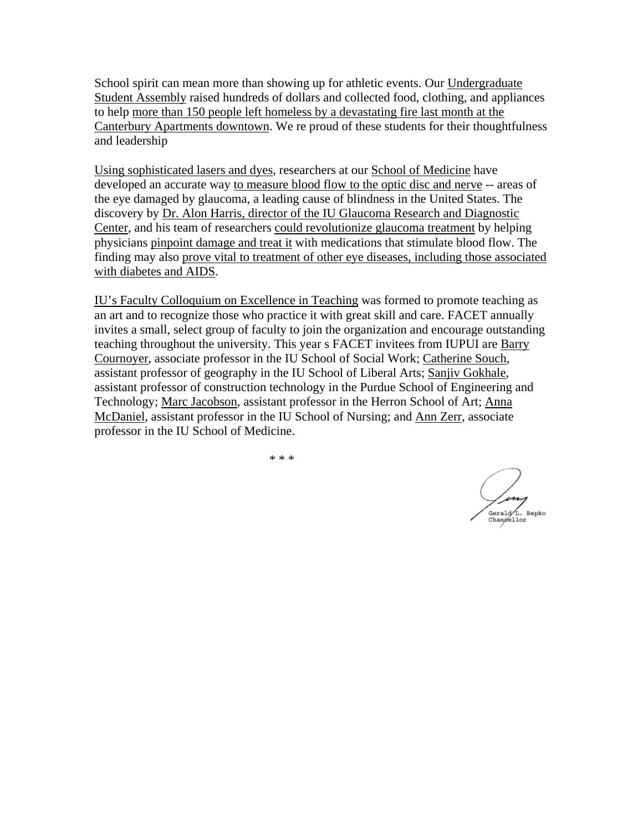School spirit can mean more than showing up for athletic events. Our Undergraduate Student Assembly raised hundreds of dollars and collected food, clothing, and appliances to help more than 150 people left homeless by a devastating fire last month at the Canterbury Apartments downtown. We re proud of these students for their thoughtfulness and leadership

Using sophisticated lasers and dyes, researchers at our School of Medicine have developed an accurate way to measure blood flow to the optic disc and nerve -- areas of the eye damaged by glaucoma, a leading cause of blindness in the United States. The discovery by Dr. Alon Harris, director of the IU Glaucoma Research and Diagnostic Center, and his team of researchers could revolutionize glaucoma treatment by helping physicians pinpoint damage and treat it with medications that stimulate blood flow. The finding may also prove vital to treatment of other eye diseases, including those associated with diabetes and AIDS.

IU's Faculty Colloquium on Excellence in Teaching was formed to promote teaching as an art and to recognize those who practice it with great skill and care. FACET annually invites a small, select group of faculty to join the organization and encourage outstanding teaching throughout the university. This year s FACET invitees from IUPUI are Barry Cournoyer, associate professor in the IU School of Social Work; Catherine Souch, assistant professor of geography in the IU School of Liberal Arts; Sanjiv Gokhale, assistant professor of construction technology in the Purdue School of Engineering and Technology; Marc Jacobson, assistant professor in the Herron School of Art; Anna McDaniel, assistant professor in the IU School of Nursing; and Ann Zerr, associate professor in the IU School of Medicine.

Gerald<sub>L.</sub> Bepko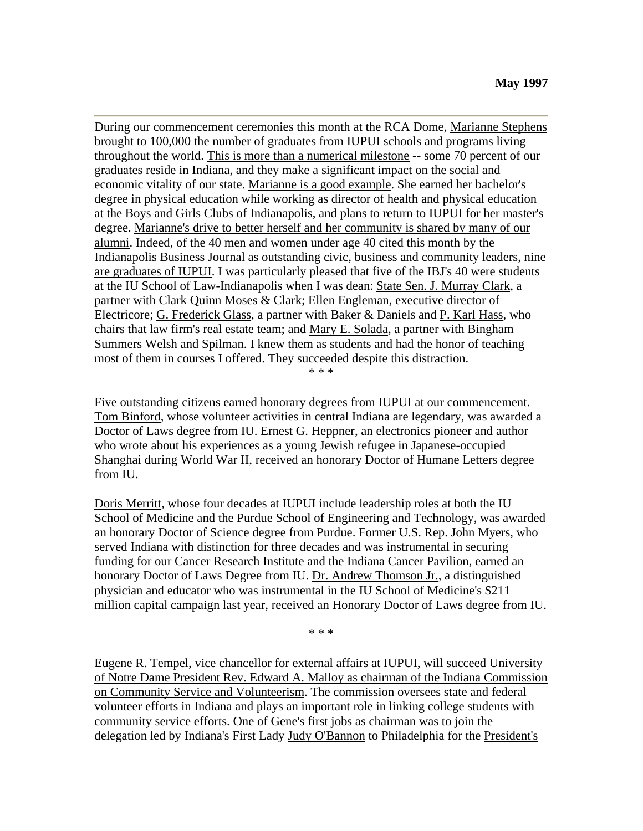During our commencement ceremonies this month at the RCA Dome, Marianne Stephens brought to 100,000 the number of graduates from IUPUI schools and programs living throughout the world. This is more than a numerical milestone -- some 70 percent of our graduates reside in Indiana, and they make a significant impact on the social and economic vitality of our state. Marianne is a good example. She earned her bachelor's degree in physical education while working as director of health and physical education at the Boys and Girls Clubs of Indianapolis, and plans to return to IUPUI for her master's degree. Marianne's drive to better herself and her community is shared by many of our alumni. Indeed, of the 40 men and women under age 40 cited this month by the Indianapolis Business Journal as outstanding civic, business and community leaders, nine are graduates of IUPUI. I was particularly pleased that five of the IBJ's 40 were students at the IU School of Law-Indianapolis when I was dean: State Sen. J. Murray Clark, a partner with Clark Quinn Moses & Clark; Ellen Engleman, executive director of Electricore; G. Frederick Glass, a partner with Baker & Daniels and P. Karl Hass, who chairs that law firm's real estate team; and Mary E. Solada, a partner with Bingham Summers Welsh and Spilman. I knew them as students and had the honor of teaching most of them in courses I offered. They succeeded despite this distraction.

\* \* \*

Five outstanding citizens earned honorary degrees from IUPUI at our commencement. Tom Binford, whose volunteer activities in central Indiana are legendary, was awarded a Doctor of Laws degree from IU. Ernest G. Heppner, an electronics pioneer and author who wrote about his experiences as a young Jewish refugee in Japanese-occupied Shanghai during World War II, received an honorary Doctor of Humane Letters degree from IU.

Doris Merritt, whose four decades at IUPUI include leadership roles at both the IU School of Medicine and the Purdue School of Engineering and Technology, was awarded an honorary Doctor of Science degree from Purdue. Former U.S. Rep. John Myers, who served Indiana with distinction for three decades and was instrumental in securing funding for our Cancer Research Institute and the Indiana Cancer Pavilion, earned an honorary Doctor of Laws Degree from IU. Dr. Andrew Thomson Jr., a distinguished physician and educator who was instrumental in the IU School of Medicine's \$211 million capital campaign last year, received an Honorary Doctor of Laws degree from IU.

\* \* \*

Eugene R. Tempel, vice chancellor for external affairs at IUPUI, will succeed University of Notre Dame President Rev. Edward A. Malloy as chairman of the Indiana Commission on Community Service and Volunteerism. The commission oversees state and federal volunteer efforts in Indiana and plays an important role in linking college students with community service efforts. One of Gene's first jobs as chairman was to join the delegation led by Indiana's First Lady Judy O'Bannon to Philadelphia for the President's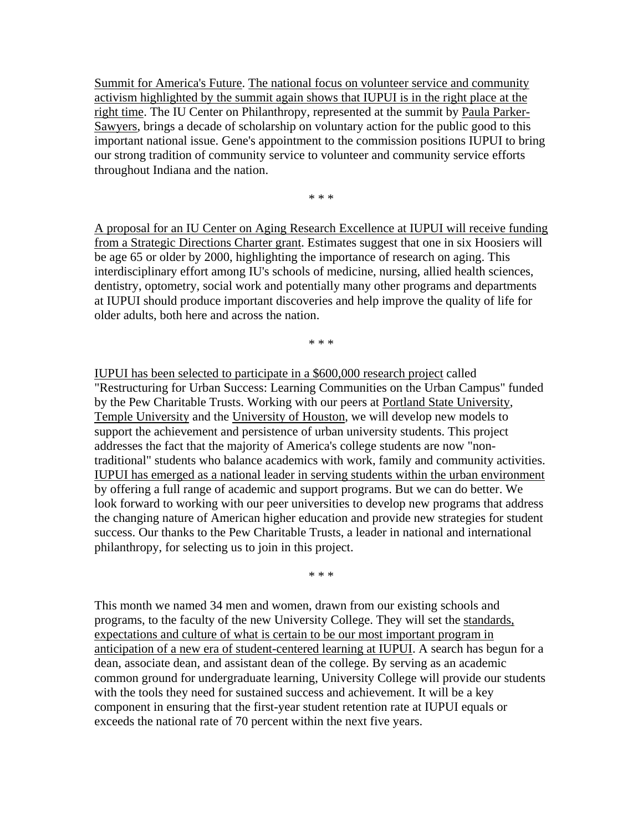Summit for America's Future. The national focus on volunteer service and community activism highlighted by the summit again shows that IUPUI is in the right place at the right time. The IU Center on Philanthropy, represented at the summit by Paula Parker-Sawyers, brings a decade of scholarship on voluntary action for the public good to this important national issue. Gene's appointment to the commission positions IUPUI to bring our strong tradition of community service to volunteer and community service efforts throughout Indiana and the nation.

\* \* \*

A proposal for an IU Center on Aging Research Excellence at IUPUI will receive funding from a Strategic Directions Charter grant. Estimates suggest that one in six Hoosiers will be age 65 or older by 2000, highlighting the importance of research on aging. This interdisciplinary effort among IU's schools of medicine, nursing, allied health sciences, dentistry, optometry, social work and potentially many other programs and departments at IUPUI should produce important discoveries and help improve the quality of life for older adults, both here and across the nation.

\* \* \*

IUPUI has been selected to participate in a \$600,000 research project called "Restructuring for Urban Success: Learning Communities on the Urban Campus" funded by the Pew Charitable Trusts. Working with our peers at Portland State University, Temple University and the University of Houston, we will develop new models to support the achievement and persistence of urban university students. This project addresses the fact that the majority of America's college students are now "nontraditional" students who balance academics with work, family and community activities. IUPUI has emerged as a national leader in serving students within the urban environment by offering a full range of academic and support programs. But we can do better. We look forward to working with our peer universities to develop new programs that address the changing nature of American higher education and provide new strategies for student success. Our thanks to the Pew Charitable Trusts, a leader in national and international philanthropy, for selecting us to join in this project.

\* \* \*

This month we named 34 men and women, drawn from our existing schools and programs, to the faculty of the new University College. They will set the standards, expectations and culture of what is certain to be our most important program in anticipation of a new era of student-centered learning at IUPUI. A search has begun for a dean, associate dean, and assistant dean of the college. By serving as an academic common ground for undergraduate learning, University College will provide our students with the tools they need for sustained success and achievement. It will be a key component in ensuring that the first-year student retention rate at IUPUI equals or exceeds the national rate of 70 percent within the next five years.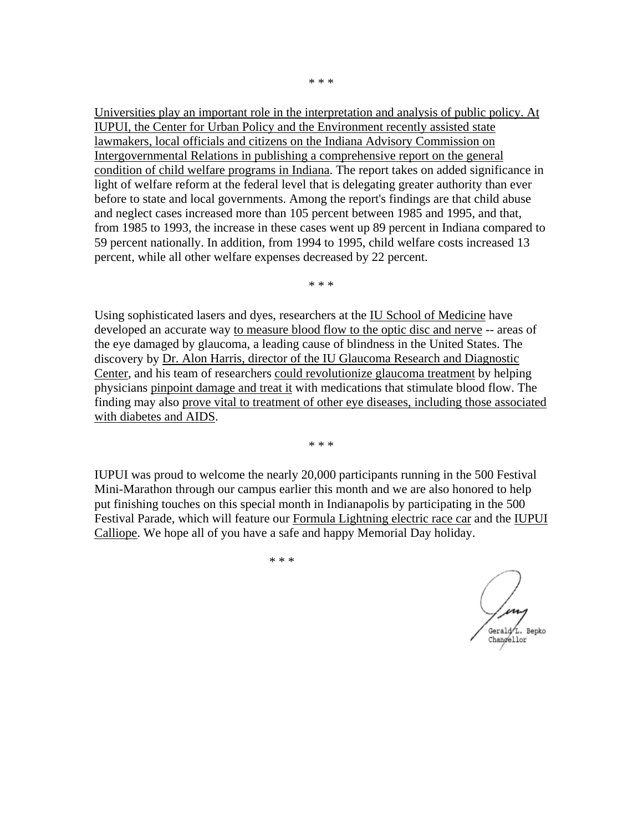Universities play an important role in the interpretation and analysis of public policy. At IUPUI, the Center for Urban Policy and the Environment recently assisted state lawmakers, local officials and citizens on the Indiana Advisory Commission on Intergovernmental Relations in publishing a comprehensive report on the general condition of child welfare programs in Indiana. The report takes on added significance in light of welfare reform at the federal level that is delegating greater authority than ever before to state and local governments. Among the report's findings are that child abuse and neglect cases increased more than 105 percent between 1985 and 1995, and that, from 1985 to 1993, the increase in these cases went up 89 percent in Indiana compared to 59 percent nationally. In addition, from 1994 to 1995, child welfare costs increased 13 percent, while all other welfare expenses decreased by 22 percent.

\* \* \*

Using sophisticated lasers and dyes, researchers at the IU School of Medicine have developed an accurate way to measure blood flow to the optic disc and nerve -- areas of the eye damaged by glaucoma, a leading cause of blindness in the United States. The discovery by Dr. Alon Harris, director of the IU Glaucoma Research and Diagnostic Center, and his team of researchers could revolutionize glaucoma treatment by helping physicians pinpoint damage and treat it with medications that stimulate blood flow. The finding may also prove vital to treatment of other eye diseases, including those associated with diabetes and AIDS.

\* \* \*

IUPUI was proud to welcome the nearly 20,000 participants running in the 500 Festival Mini-Marathon through our campus earlier this month and we are also honored to help put finishing touches on this special month in Indianapolis by participating in the 500 Festival Parade, which will feature our Formula Lightning electric race car and the IUPUI Calliope. We hope all of you have a safe and happy Memorial Day holiday.

Gerald<sup>1</sup>L. Bepko Changellor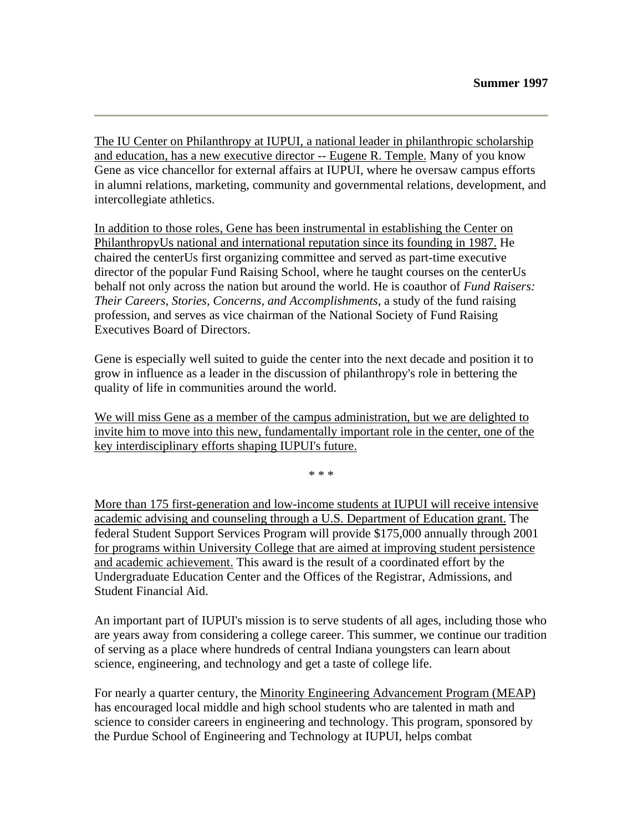The IU Center on Philanthropy at IUPUI, a national leader in philanthropic scholarship and education, has a new executive director -- Eugene R. Temple. Many of you know Gene as vice chancellor for external affairs at IUPUI, where he oversaw campus efforts in alumni relations, marketing, community and governmental relations, development, and intercollegiate athletics.

In addition to those roles, Gene has been instrumental in establishing the Center on PhilanthropyUs national and international reputation since its founding in 1987. He chaired the centerUs first organizing committee and served as part-time executive director of the popular Fund Raising School, where he taught courses on the centerUs behalf not only across the nation but around the world. He is coauthor of *Fund Raisers: Their Careers, Stories, Concerns, and Accomplishments*, a study of the fund raising profession, and serves as vice chairman of the National Society of Fund Raising Executives Board of Directors.

Gene is especially well suited to guide the center into the next decade and position it to grow in influence as a leader in the discussion of philanthropy's role in bettering the quality of life in communities around the world.

We will miss Gene as a member of the campus administration, but we are delighted to invite him to move into this new, fundamentally important role in the center, one of the key interdisciplinary efforts shaping IUPUI's future.

\* \* \*

More than 175 first-generation and low-income students at IUPUI will receive intensive academic advising and counseling through a U.S. Department of Education grant. The federal Student Support Services Program will provide \$175,000 annually through 2001 for programs within University College that are aimed at improving student persistence and academic achievement. This award is the result of a coordinated effort by the Undergraduate Education Center and the Offices of the Registrar, Admissions, and Student Financial Aid.

An important part of IUPUI's mission is to serve students of all ages, including those who are years away from considering a college career. This summer, we continue our tradition of serving as a place where hundreds of central Indiana youngsters can learn about science, engineering, and technology and get a taste of college life.

For nearly a quarter century, the Minority Engineering Advancement Program (MEAP) has encouraged local middle and high school students who are talented in math and science to consider careers in engineering and technology. This program, sponsored by the Purdue School of Engineering and Technology at IUPUI, helps combat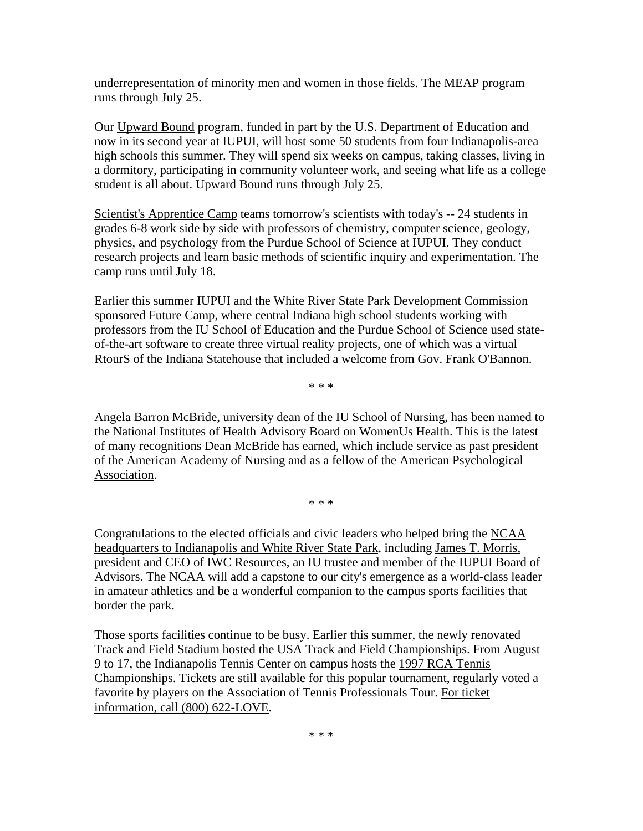underrepresentation of minority men and women in those fields. The MEAP program runs through July 25.

Our Upward Bound program, funded in part by the U.S. Department of Education and now in its second year at IUPUI, will host some 50 students from four Indianapolis-area high schools this summer. They will spend six weeks on campus, taking classes, living in a dormitory, participating in community volunteer work, and seeing what life as a college student is all about. Upward Bound runs through July 25.

Scientist's Apprentice Camp teams tomorrow's scientists with today's -- 24 students in grades 6-8 work side by side with professors of chemistry, computer science, geology, physics, and psychology from the Purdue School of Science at IUPUI. They conduct research projects and learn basic methods of scientific inquiry and experimentation. The camp runs until July 18.

Earlier this summer IUPUI and the White River State Park Development Commission sponsored Future Camp, where central Indiana high school students working with professors from the IU School of Education and the Purdue School of Science used stateof-the-art software to create three virtual reality projects, one of which was a virtual RtourS of the Indiana Statehouse that included a welcome from Gov. Frank O'Bannon.

\* \* \*

Angela Barron McBride, university dean of the IU School of Nursing, has been named to the National Institutes of Health Advisory Board on WomenUs Health. This is the latest of many recognitions Dean McBride has earned, which include service as past president of the American Academy of Nursing and as a fellow of the American Psychological Association.

\* \* \*

Congratulations to the elected officials and civic leaders who helped bring the NCAA headquarters to Indianapolis and White River State Park, including James T. Morris, president and CEO of IWC Resources, an IU trustee and member of the IUPUI Board of Advisors. The NCAA will add a capstone to our city's emergence as a world-class leader in amateur athletics and be a wonderful companion to the campus sports facilities that border the park.

Those sports facilities continue to be busy. Earlier this summer, the newly renovated Track and Field Stadium hosted the USA Track and Field Championships. From August 9 to 17, the Indianapolis Tennis Center on campus hosts the 1997 RCA Tennis Championships. Tickets are still available for this popular tournament, regularly voted a favorite by players on the Association of Tennis Professionals Tour. For ticket information, call (800) 622-LOVE.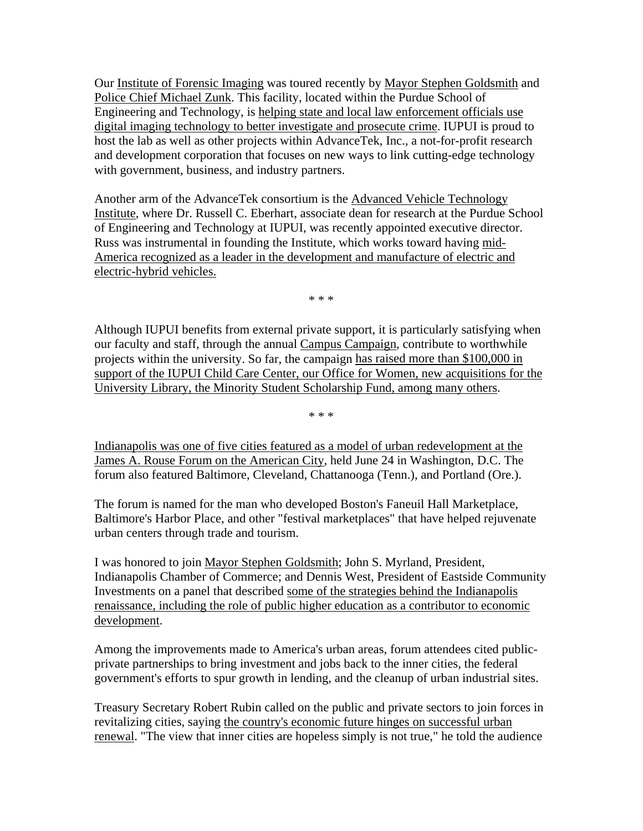Our Institute of Forensic Imaging was toured recently by Mayor Stephen Goldsmith and Police Chief Michael Zunk. This facility, located within the Purdue School of Engineering and Technology, is helping state and local law enforcement officials use digital imaging technology to better investigate and prosecute crime. IUPUI is proud to host the lab as well as other projects within AdvanceTek, Inc., a not-for-profit research and development corporation that focuses on new ways to link cutting-edge technology with government, business, and industry partners.

Another arm of the AdvanceTek consortium is the Advanced Vehicle Technology Institute, where Dr. Russell C. Eberhart, associate dean for research at the Purdue School of Engineering and Technology at IUPUI, was recently appointed executive director. Russ was instrumental in founding the Institute, which works toward having mid-America recognized as a leader in the development and manufacture of electric and electric-hybrid vehicles.

\* \* \*

Although IUPUI benefits from external private support, it is particularly satisfying when our faculty and staff, through the annual Campus Campaign, contribute to worthwhile projects within the university. So far, the campaign has raised more than \$100,000 in support of the IUPUI Child Care Center, our Office for Women, new acquisitions for the University Library, the Minority Student Scholarship Fund, among many others.

\* \* \*

Indianapolis was one of five cities featured as a model of urban redevelopment at the James A. Rouse Forum on the American City, held June 24 in Washington, D.C. The forum also featured Baltimore, Cleveland, Chattanooga (Tenn.), and Portland (Ore.).

The forum is named for the man who developed Boston's Faneuil Hall Marketplace, Baltimore's Harbor Place, and other "festival marketplaces" that have helped rejuvenate urban centers through trade and tourism.

I was honored to join Mayor Stephen Goldsmith; John S. Myrland, President, Indianapolis Chamber of Commerce; and Dennis West, President of Eastside Community Investments on a panel that described some of the strategies behind the Indianapolis renaissance, including the role of public higher education as a contributor to economic development.

Among the improvements made to America's urban areas, forum attendees cited publicprivate partnerships to bring investment and jobs back to the inner cities, the federal government's efforts to spur growth in lending, and the cleanup of urban industrial sites.

Treasury Secretary Robert Rubin called on the public and private sectors to join forces in revitalizing cities, saying the country's economic future hinges on successful urban renewal. "The view that inner cities are hopeless simply is not true," he told the audience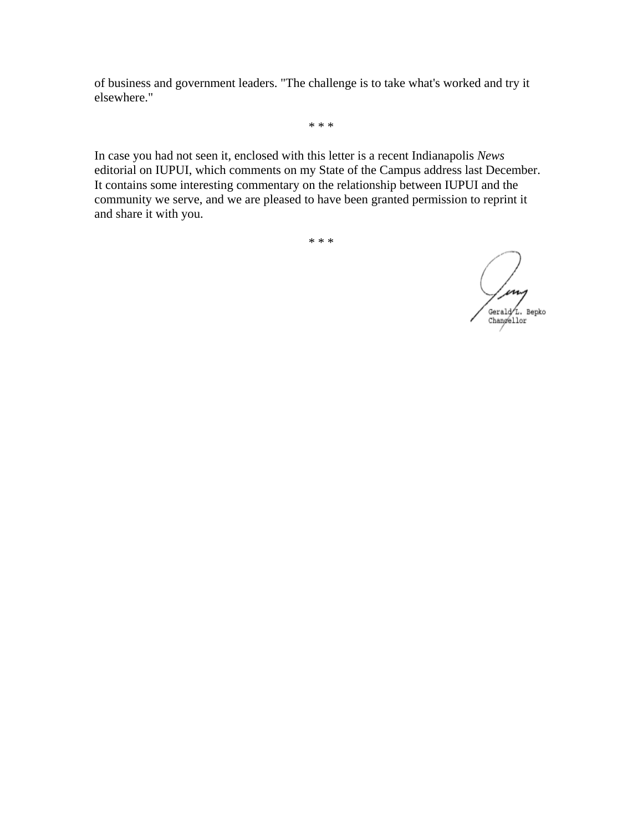of business and government leaders. "The challenge is to take what's worked and try it elsewhere."

\* \* \*

In case you had not seen it, enclosed with this letter is a recent Indianapolis *News* editorial on IUPUI, which comments on my State of the Campus address last December. It contains some interesting commentary on the relationship between IUPUI and the community we serve, and we are pleased to have been granted permission to reprint it and share it with you.

/ ing Gerald L. Bepko<br>Changellor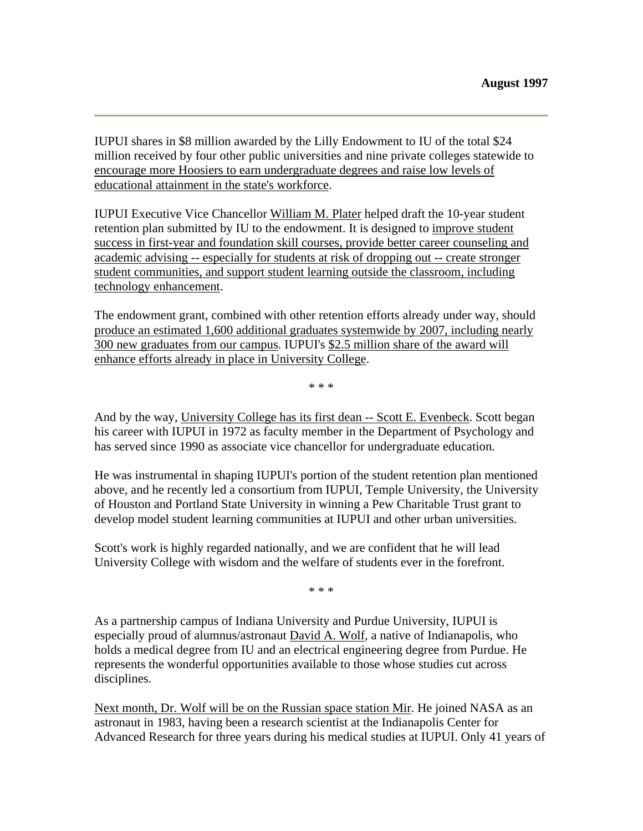IUPUI shares in \$8 million awarded by the Lilly Endowment to IU of the total \$24 million received by four other public universities and nine private colleges statewide to encourage more Hoosiers to earn undergraduate degrees and raise low levels of educational attainment in the state's workforce.

IUPUI Executive Vice Chancellor William M. Plater helped draft the 10-year student retention plan submitted by IU to the endowment. It is designed to improve student success in first-year and foundation skill courses, provide better career counseling and academic advising -- especially for students at risk of dropping out -- create stronger student communities, and support student learning outside the classroom, including technology enhancement.

The endowment grant, combined with other retention efforts already under way, should produce an estimated 1,600 additional graduates systemwide by 2007, including nearly 300 new graduates from our campus. IUPUI's \$2.5 million share of the award will enhance efforts already in place in University College.

\* \* \*

And by the way, University College has its first dean -- Scott E. Evenbeck. Scott began his career with IUPUI in 1972 as faculty member in the Department of Psychology and has served since 1990 as associate vice chancellor for undergraduate education.

He was instrumental in shaping IUPUI's portion of the student retention plan mentioned above, and he recently led a consortium from IUPUI, Temple University, the University of Houston and Portland State University in winning a Pew Charitable Trust grant to develop model student learning communities at IUPUI and other urban universities.

Scott's work is highly regarded nationally, and we are confident that he will lead University College with wisdom and the welfare of students ever in the forefront.

\* \* \*

As a partnership campus of Indiana University and Purdue University, IUPUI is especially proud of alumnus/astronaut David A. Wolf, a native of Indianapolis, who holds a medical degree from IU and an electrical engineering degree from Purdue. He represents the wonderful opportunities available to those whose studies cut across disciplines.

Next month, Dr. Wolf will be on the Russian space station Mir. He joined NASA as an astronaut in 1983, having been a research scientist at the Indianapolis Center for Advanced Research for three years during his medical studies at IUPUI. Only 41 years of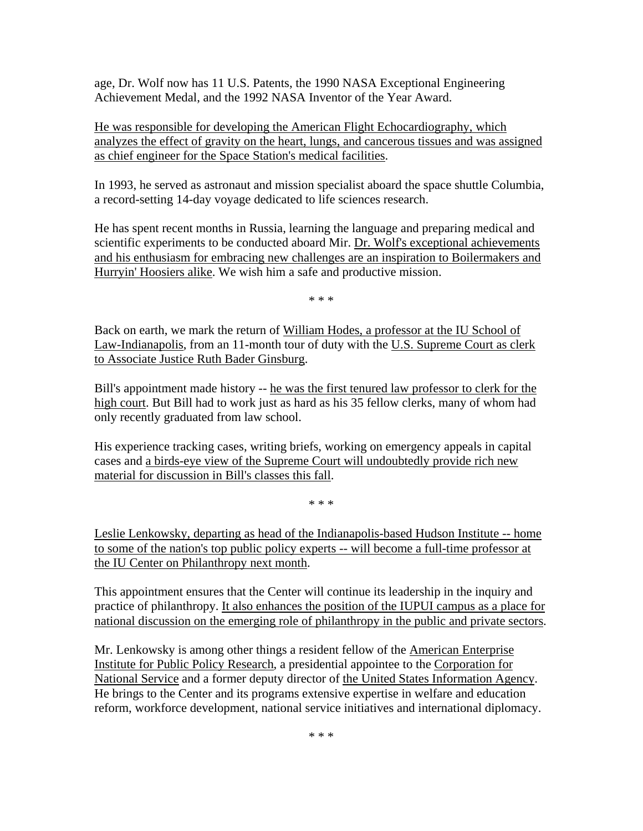age, Dr. Wolf now has 11 U.S. Patents, the 1990 NASA Exceptional Engineering Achievement Medal, and the 1992 NASA Inventor of the Year Award.

He was responsible for developing the American Flight Echocardiography, which analyzes the effect of gravity on the heart, lungs, and cancerous tissues and was assigned as chief engineer for the Space Station's medical facilities.

In 1993, he served as astronaut and mission specialist aboard the space shuttle Columbia, a record-setting 14-day voyage dedicated to life sciences research.

He has spent recent months in Russia, learning the language and preparing medical and scientific experiments to be conducted aboard Mir. Dr. Wolf's exceptional achievements and his enthusiasm for embracing new challenges are an inspiration to Boilermakers and Hurryin' Hoosiers alike. We wish him a safe and productive mission.

\* \* \*

Back on earth, we mark the return of William Hodes, a professor at the IU School of Law-Indianapolis, from an 11-month tour of duty with the U.S. Supreme Court as clerk to Associate Justice Ruth Bader Ginsburg.

Bill's appointment made history -- he was the first tenured law professor to clerk for the high court. But Bill had to work just as hard as his 35 fellow clerks, many of whom had only recently graduated from law school.

His experience tracking cases, writing briefs, working on emergency appeals in capital cases and a birds-eye view of the Supreme Court will undoubtedly provide rich new material for discussion in Bill's classes this fall.

\* \* \*

Leslie Lenkowsky, departing as head of the Indianapolis-based Hudson Institute -- home to some of the nation's top public policy experts -- will become a full-time professor at the IU Center on Philanthropy next month.

This appointment ensures that the Center will continue its leadership in the inquiry and practice of philanthropy. It also enhances the position of the IUPUI campus as a place for national discussion on the emerging role of philanthropy in the public and private sectors.

Mr. Lenkowsky is among other things a resident fellow of the American Enterprise Institute for Public Policy Research, a presidential appointee to the Corporation for National Service and a former deputy director of the United States Information Agency. He brings to the Center and its programs extensive expertise in welfare and education reform, workforce development, national service initiatives and international diplomacy.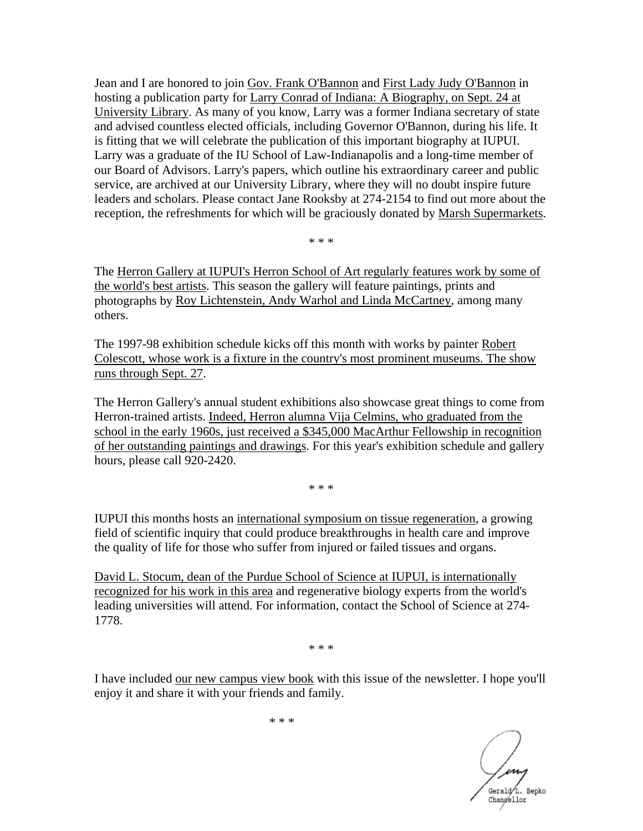Jean and I are honored to join Gov. Frank O'Bannon and First Lady Judy O'Bannon in hosting a publication party for Larry Conrad of Indiana: A Biography, on Sept. 24 at University Library. As many of you know, Larry was a former Indiana secretary of state and advised countless elected officials, including Governor O'Bannon, during his life. It is fitting that we will celebrate the publication of this important biography at IUPUI. Larry was a graduate of the IU School of Law-Indianapolis and a long-time member of our Board of Advisors. Larry's papers, which outline his extraordinary career and public service, are archived at our University Library, where they will no doubt inspire future leaders and scholars. Please contact Jane Rooksby at 274-2154 to find out more about the reception, the refreshments for which will be graciously donated by Marsh Supermarkets.

\* \* \*

The Herron Gallery at IUPUI's Herron School of Art regularly features work by some of the world's best artists. This season the gallery will feature paintings, prints and photographs by Roy Lichtenstein, Andy Warhol and Linda McCartney, among many others.

The 1997-98 exhibition schedule kicks off this month with works by painter Robert Colescott, whose work is a fixture in the country's most prominent museums. The show runs through Sept. 27.

The Herron Gallery's annual student exhibitions also showcase great things to come from Herron-trained artists. Indeed, Herron alumna Vija Celmins, who graduated from the school in the early 1960s, just received a \$345,000 MacArthur Fellowship in recognition of her outstanding paintings and drawings. For this year's exhibition schedule and gallery hours, please call 920-2420.

\* \* \*

IUPUI this months hosts an international symposium on tissue regeneration, a growing field of scientific inquiry that could produce breakthroughs in health care and improve the quality of life for those who suffer from injured or failed tissues and organs.

David L. Stocum, dean of the Purdue School of Science at IUPUI, is internationally recognized for his work in this area and regenerative biology experts from the world's leading universities will attend. For information, contact the School of Science at 274- 1778.

\* \* \*

I have included our new campus view book with this issue of the newsletter. I hope you'll enjoy it and share it with your friends and family.

Gerald L. Bepko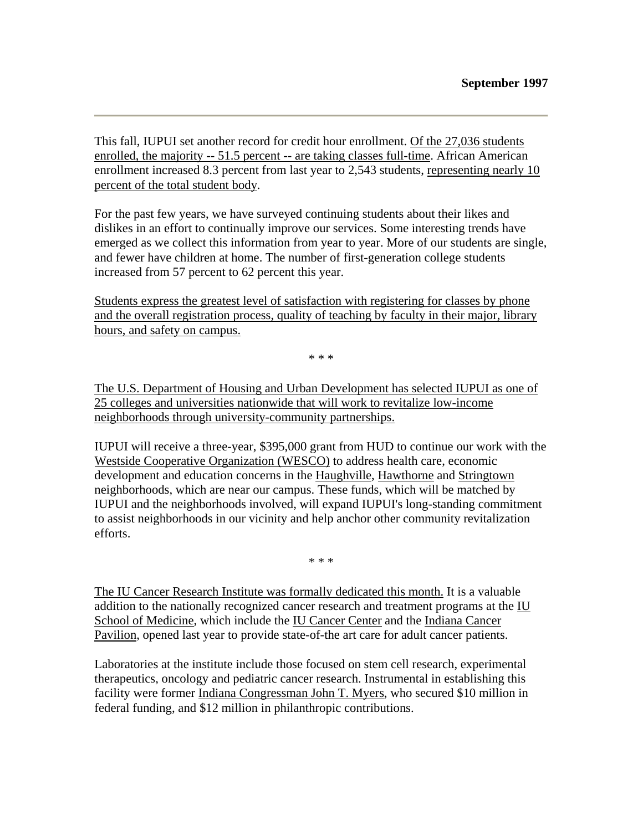This fall, IUPUI set another record for credit hour enrollment. Of the 27,036 students enrolled, the majority -- 51.5 percent -- are taking classes full-time. African American enrollment increased 8.3 percent from last year to 2,543 students, representing nearly 10 percent of the total student body.

For the past few years, we have surveyed continuing students about their likes and dislikes in an effort to continually improve our services. Some interesting trends have emerged as we collect this information from year to year. More of our students are single, and fewer have children at home. The number of first-generation college students increased from 57 percent to 62 percent this year.

Students express the greatest level of satisfaction with registering for classes by phone and the overall registration process, quality of teaching by faculty in their major, library hours, and safety on campus.

\* \* \*

The U.S. Department of Housing and Urban Development has selected IUPUI as one of 25 colleges and universities nationwide that will work to revitalize low-income neighborhoods through university-community partnerships.

IUPUI will receive a three-year, \$395,000 grant from HUD to continue our work with the Westside Cooperative Organization (WESCO) to address health care, economic development and education concerns in the Haughville, Hawthorne and Stringtown neighborhoods, which are near our campus. These funds, which will be matched by IUPUI and the neighborhoods involved, will expand IUPUI's long-standing commitment to assist neighborhoods in our vicinity and help anchor other community revitalization efforts.

\* \* \*

The IU Cancer Research Institute was formally dedicated this month. It is a valuable addition to the nationally recognized cancer research and treatment programs at the IU School of Medicine, which include the IU Cancer Center and the Indiana Cancer Pavilion, opened last year to provide state-of-the art care for adult cancer patients.

Laboratories at the institute include those focused on stem cell research, experimental therapeutics, oncology and pediatric cancer research. Instrumental in establishing this facility were former Indiana Congressman John T. Myers, who secured \$10 million in federal funding, and \$12 million in philanthropic contributions.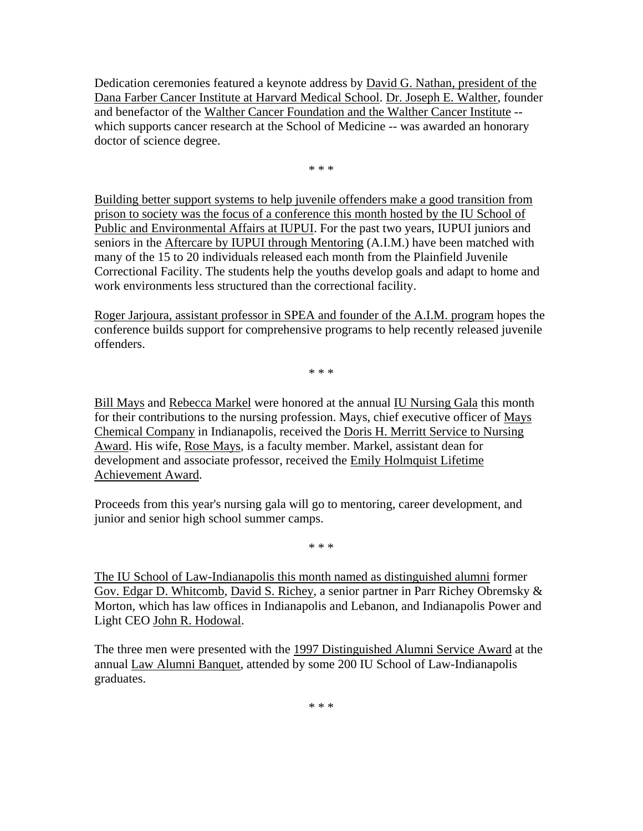Dedication ceremonies featured a keynote address by David G. Nathan, president of the Dana Farber Cancer Institute at Harvard Medical School. Dr. Joseph E. Walther, founder and benefactor of the Walther Cancer Foundation and the Walther Cancer Institute - which supports cancer research at the School of Medicine -- was awarded an honorary doctor of science degree.

\* \* \*

Building better support systems to help juvenile offenders make a good transition from prison to society was the focus of a conference this month hosted by the IU School of Public and Environmental Affairs at IUPUI. For the past two years, IUPUI juniors and seniors in the Aftercare by IUPUI through Mentoring (A.I.M.) have been matched with many of the 15 to 20 individuals released each month from the Plainfield Juvenile Correctional Facility. The students help the youths develop goals and adapt to home and work environments less structured than the correctional facility.

Roger Jarjoura, assistant professor in SPEA and founder of the A.I.M. program hopes the conference builds support for comprehensive programs to help recently released juvenile offenders.

\* \* \*

Bill Mays and Rebecca Markel were honored at the annual IU Nursing Gala this month for their contributions to the nursing profession. Mays, chief executive officer of Mays Chemical Company in Indianapolis, received the Doris H. Merritt Service to Nursing Award. His wife, Rose Mays, is a faculty member. Markel, assistant dean for development and associate professor, received the Emily Holmquist Lifetime Achievement Award.

Proceeds from this year's nursing gala will go to mentoring, career development, and junior and senior high school summer camps.

\* \* \*

The IU School of Law-Indianapolis this month named as distinguished alumni former Gov. Edgar D. Whitcomb, David S. Richey, a senior partner in Parr Richey Obremsky & Morton, which has law offices in Indianapolis and Lebanon, and Indianapolis Power and Light CEO John R. Hodowal.

The three men were presented with the 1997 Distinguished Alumni Service Award at the annual Law Alumni Banquet, attended by some 200 IU School of Law-Indianapolis graduates.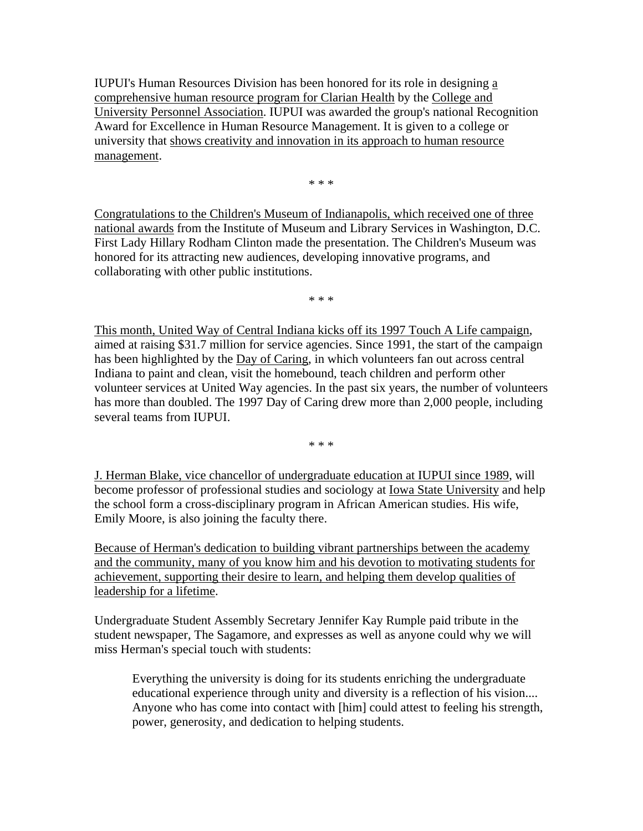IUPUI's Human Resources Division has been honored for its role in designing a comprehensive human resource program for Clarian Health by the College and University Personnel Association. IUPUI was awarded the group's national Recognition Award for Excellence in Human Resource Management. It is given to a college or university that shows creativity and innovation in its approach to human resource management.

\* \* \*

Congratulations to the Children's Museum of Indianapolis, which received one of three national awards from the Institute of Museum and Library Services in Washington, D.C. First Lady Hillary Rodham Clinton made the presentation. The Children's Museum was honored for its attracting new audiences, developing innovative programs, and collaborating with other public institutions.

\* \* \*

This month, United Way of Central Indiana kicks off its 1997 Touch A Life campaign, aimed at raising \$31.7 million for service agencies. Since 1991, the start of the campaign has been highlighted by the Day of Caring, in which volunteers fan out across central Indiana to paint and clean, visit the homebound, teach children and perform other volunteer services at United Way agencies. In the past six years, the number of volunteers has more than doubled. The 1997 Day of Caring drew more than 2,000 people, including several teams from IUPUI.

\* \* \*

J. Herman Blake, vice chancellor of undergraduate education at IUPUI since 1989, will become professor of professional studies and sociology at Iowa State University and help the school form a cross-disciplinary program in African American studies. His wife, Emily Moore, is also joining the faculty there.

Because of Herman's dedication to building vibrant partnerships between the academy and the community, many of you know him and his devotion to motivating students for achievement, supporting their desire to learn, and helping them develop qualities of leadership for a lifetime.

Undergraduate Student Assembly Secretary Jennifer Kay Rumple paid tribute in the student newspaper, The Sagamore, and expresses as well as anyone could why we will miss Herman's special touch with students:

Everything the university is doing for its students enriching the undergraduate educational experience through unity and diversity is a reflection of his vision.... Anyone who has come into contact with [him] could attest to feeling his strength, power, generosity, and dedication to helping students.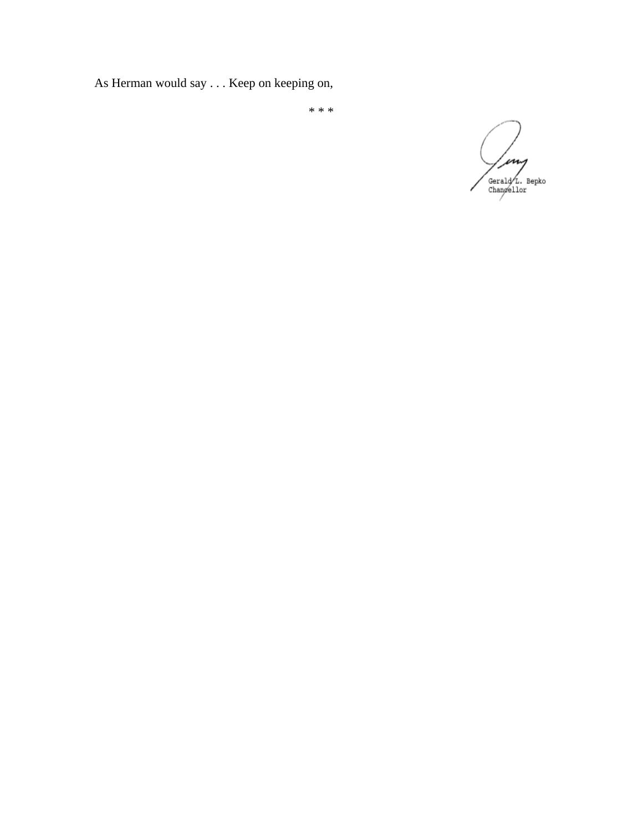As Herman would say . . . Keep on keeping on,

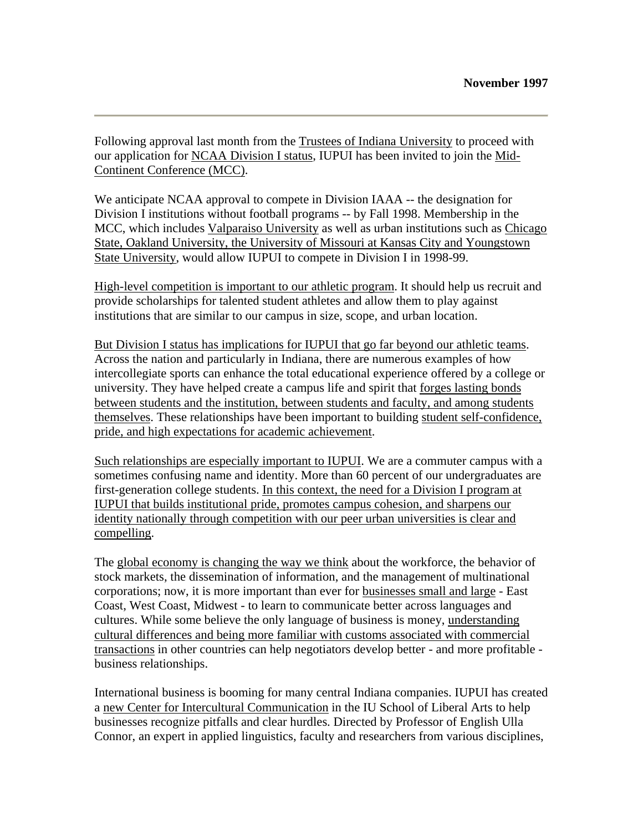Following approval last month from the Trustees of Indiana University to proceed with our application for NCAA Division I status, IUPUI has been invited to join the Mid-Continent Conference (MCC).

We anticipate NCAA approval to compete in Division IAAA -- the designation for Division I institutions without football programs -- by Fall 1998. Membership in the MCC, which includes Valparaiso University as well as urban institutions such as Chicago State, Oakland University, the University of Missouri at Kansas City and Youngstown State University, would allow IUPUI to compete in Division I in 1998-99.

High-level competition is important to our athletic program. It should help us recruit and provide scholarships for talented student athletes and allow them to play against institutions that are similar to our campus in size, scope, and urban location.

But Division I status has implications for IUPUI that go far beyond our athletic teams. Across the nation and particularly in Indiana, there are numerous examples of how intercollegiate sports can enhance the total educational experience offered by a college or university. They have helped create a campus life and spirit that forges lasting bonds between students and the institution, between students and faculty, and among students themselves. These relationships have been important to building student self-confidence, pride, and high expectations for academic achievement.

Such relationships are especially important to IUPUI. We are a commuter campus with a sometimes confusing name and identity. More than 60 percent of our undergraduates are first-generation college students. In this context, the need for a Division I program at IUPUI that builds institutional pride, promotes campus cohesion, and sharpens our identity nationally through competition with our peer urban universities is clear and compelling.

The global economy is changing the way we think about the workforce, the behavior of stock markets, the dissemination of information, and the management of multinational corporations; now, it is more important than ever for businesses small and large - East Coast, West Coast, Midwest - to learn to communicate better across languages and cultures. While some believe the only language of business is money, understanding cultural differences and being more familiar with customs associated with commercial transactions in other countries can help negotiators develop better - and more profitable business relationships.

International business is booming for many central Indiana companies. IUPUI has created a new Center for Intercultural Communication in the IU School of Liberal Arts to help businesses recognize pitfalls and clear hurdles. Directed by Professor of English Ulla Connor, an expert in applied linguistics, faculty and researchers from various disciplines,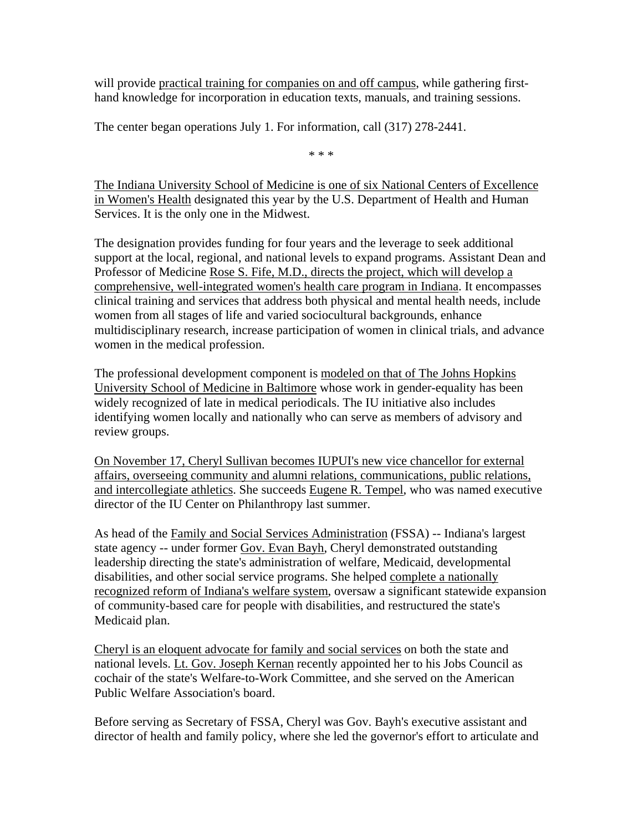will provide practical training for companies on and off campus, while gathering firsthand knowledge for incorporation in education texts, manuals, and training sessions.

The center began operations July 1. For information, call (317) 278-2441.

\* \* \*

The Indiana University School of Medicine is one of six National Centers of Excellence in Women's Health designated this year by the U.S. Department of Health and Human Services. It is the only one in the Midwest.

The designation provides funding for four years and the leverage to seek additional support at the local, regional, and national levels to expand programs. Assistant Dean and Professor of Medicine Rose S. Fife, M.D., directs the project, which will develop a comprehensive, well-integrated women's health care program in Indiana. It encompasses clinical training and services that address both physical and mental health needs, include women from all stages of life and varied sociocultural backgrounds, enhance multidisciplinary research, increase participation of women in clinical trials, and advance women in the medical profession.

The professional development component is modeled on that of The Johns Hopkins University School of Medicine in Baltimore whose work in gender-equality has been widely recognized of late in medical periodicals. The IU initiative also includes identifying women locally and nationally who can serve as members of advisory and review groups.

On November 17, Cheryl Sullivan becomes IUPUI's new vice chancellor for external affairs, overseeing community and alumni relations, communications, public relations, and intercollegiate athletics. She succeeds Eugene R. Tempel, who was named executive director of the IU Center on Philanthropy last summer.

As head of the Family and Social Services Administration (FSSA) -- Indiana's largest state agency -- under former Gov. Evan Bayh, Cheryl demonstrated outstanding leadership directing the state's administration of welfare, Medicaid, developmental disabilities, and other social service programs. She helped complete a nationally recognized reform of Indiana's welfare system, oversaw a significant statewide expansion of community-based care for people with disabilities, and restructured the state's Medicaid plan.

Cheryl is an eloquent advocate for family and social services on both the state and national levels. Lt. Gov. Joseph Kernan recently appointed her to his Jobs Council as cochair of the state's Welfare-to-Work Committee, and she served on the American Public Welfare Association's board.

Before serving as Secretary of FSSA, Cheryl was Gov. Bayh's executive assistant and director of health and family policy, where she led the governor's effort to articulate and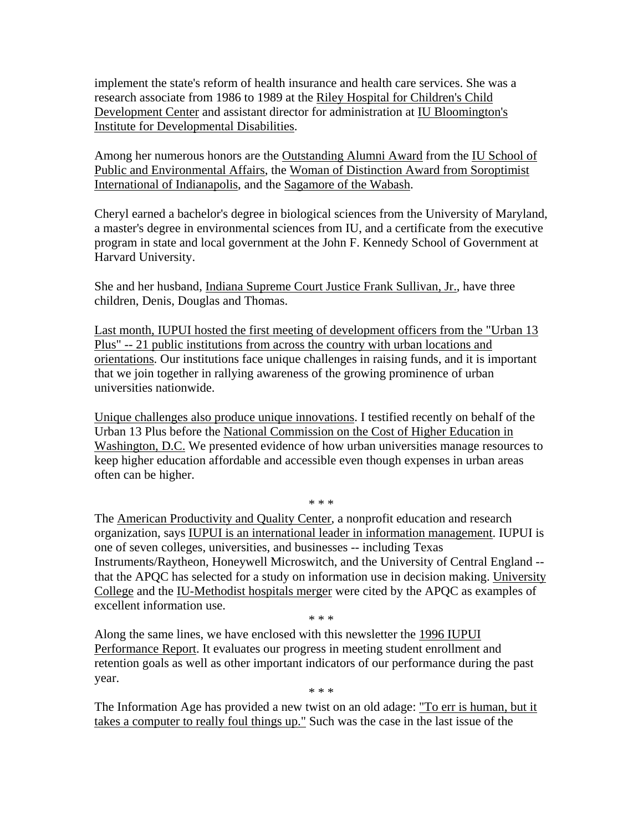implement the state's reform of health insurance and health care services. She was a research associate from 1986 to 1989 at the Riley Hospital for Children's Child Development Center and assistant director for administration at IU Bloomington's Institute for Developmental Disabilities.

Among her numerous honors are the Outstanding Alumni Award from the IU School of Public and Environmental Affairs, the Woman of Distinction Award from Soroptimist International of Indianapolis, and the Sagamore of the Wabash.

Cheryl earned a bachelor's degree in biological sciences from the University of Maryland, a master's degree in environmental sciences from IU, and a certificate from the executive program in state and local government at the John F. Kennedy School of Government at Harvard University.

She and her husband, Indiana Supreme Court Justice Frank Sullivan, Jr., have three children, Denis, Douglas and Thomas.

Last month, IUPUI hosted the first meeting of development officers from the "Urban 13 Plus" -- 21 public institutions from across the country with urban locations and orientations. Our institutions face unique challenges in raising funds, and it is important that we join together in rallying awareness of the growing prominence of urban universities nationwide.

Unique challenges also produce unique innovations. I testified recently on behalf of the Urban 13 Plus before the National Commission on the Cost of Higher Education in Washington, D.C. We presented evidence of how urban universities manage resources to keep higher education affordable and accessible even though expenses in urban areas often can be higher.

\* \* \*

The American Productivity and Quality Center, a nonprofit education and research organization, says IUPUI is an international leader in information management. IUPUI is one of seven colleges, universities, and businesses -- including Texas Instruments/Raytheon, Honeywell Microswitch, and the University of Central England - that the APQC has selected for a study on information use in decision making. University College and the IU-Methodist hospitals merger were cited by the APQC as examples of excellent information use.

\* \* \*

Along the same lines, we have enclosed with this newsletter the 1996 IUPUI Performance Report. It evaluates our progress in meeting student enrollment and retention goals as well as other important indicators of our performance during the past year.

\* \* \*

The Information Age has provided a new twist on an old adage: "To err is human, but it takes a computer to really foul things up." Such was the case in the last issue of the